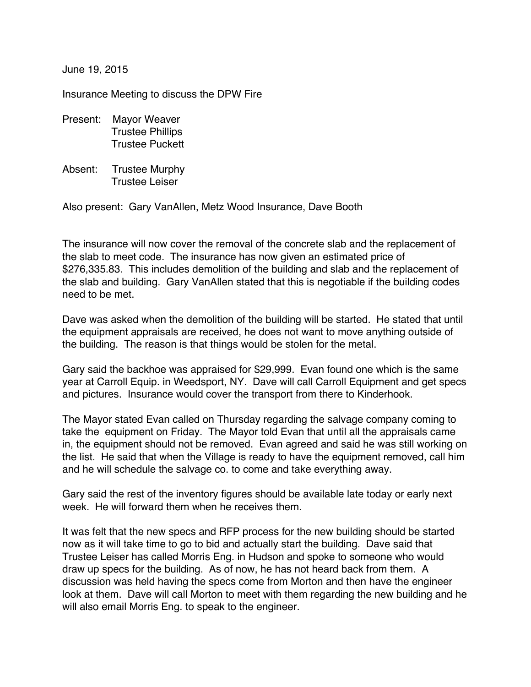June 19, 2015

Insurance Meeting to discuss the DPW Fire

- Present: Mayor Weaver Trustee Phillips Trustee Puckett
- Absent: Trustee Murphy Trustee Leiser

Also present: Gary VanAllen, Metz Wood Insurance, Dave Booth

The insurance will now cover the removal of the concrete slab and the replacement of the slab to meet code. The insurance has now given an estimated price of \$276,335.83. This includes demolition of the building and slab and the replacement of the slab and building. Gary VanAllen stated that this is negotiable if the building codes need to be met.

Dave was asked when the demolition of the building will be started. He stated that until the equipment appraisals are received, he does not want to move anything outside of the building. The reason is that things would be stolen for the metal.

Gary said the backhoe was appraised for \$29,999. Evan found one which is the same year at Carroll Equip. in Weedsport, NY. Dave will call Carroll Equipment and get specs and pictures. Insurance would cover the transport from there to Kinderhook.

The Mayor stated Evan called on Thursday regarding the salvage company coming to take the equipment on Friday. The Mayor told Evan that until all the appraisals came in, the equipment should not be removed. Evan agreed and said he was still working on the list. He said that when the Village is ready to have the equipment removed, call him and he will schedule the salvage co. to come and take everything away.

Gary said the rest of the inventory figures should be available late today or early next week. He will forward them when he receives them.

It was felt that the new specs and RFP process for the new building should be started now as it will take time to go to bid and actually start the building. Dave said that Trustee Leiser has called Morris Eng. in Hudson and spoke to someone who would draw up specs for the building. As of now, he has not heard back from them. A discussion was held having the specs come from Morton and then have the engineer look at them. Dave will call Morton to meet with them regarding the new building and he will also email Morris Eng. to speak to the engineer.